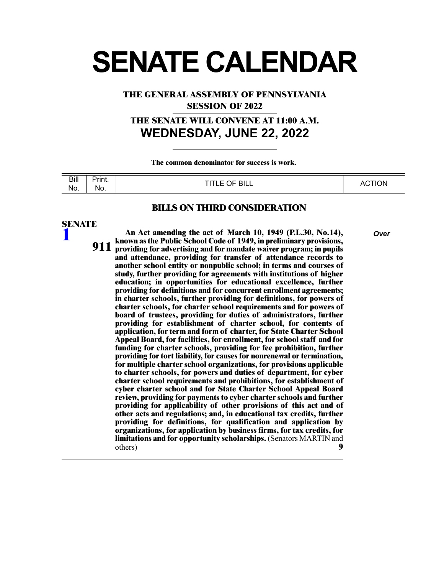# **SENATE CALENDAR**

**THE GENERAL ASSEMBLY OF PENNSYLVANIA**

**SESSION OF 2022**

# **THE SENATE WILL CONVENE AT 11:00 A.M. WEDNESDAY, JUNE 22, 2022**

**The common denominator for success is work.** 

| Bill | - -<br>Print. | OF BILL<br>T(T)<br>- | <b>CTION</b> |
|------|---------------|----------------------|--------------|
| No.  | No.           | --                   | AC.          |

#### **BILLS ON THIRD CONSIDERATION**

## **SENATE**

**[1](/cfdocs/billinfo/billinfo.cfm?syear=2021&sind=0&body=S&type=B&bn=1)**

**An Act amending the act of March 10, 1949 (P.L.30, No.14),** *Over* **known as the Public School Code of 1949, in preliminary provisions, providing for advertising and for mandate waiver program; in pupils and attendance, providing for transfer of attendance records to another school entity or nonpublic school; in terms and courses of study, further providing for agreements with institutions of higher 911 education; in opportunities for educational excellence, further providing for definitions and for concurrent enrollment agreements; in charter schools, further providing for definitions, for powers of charter schools, for charter school requirements and for powers of board of trustees, providing for duties of administrators, further providing for establishment of charter school, for contents of application, for term and form of charter, for State Charter School Appeal Board, for facilities, for enrollment, for school staff and for funding for charter schools, providing for fee prohibition, further providing for tort liability, for causes for nonrenewal or termination, for multiple charter school organizations, for provisions applicable to charter schools, for powers and duties of department, for cyber charter school requirements and prohibitions, for establishment of cyber charter school and for State Charter School Appeal Board review, providing for payments to cyber charter schools and further providing for applicability of other provisions of this act and of other acts and regulations; and, in educational tax credits, further providing for definitions, for qualification and application by organizations, for application by business firms, for tax credits, for limitations and for opportunity scholarships.** (Senators MARTIN and others) **9**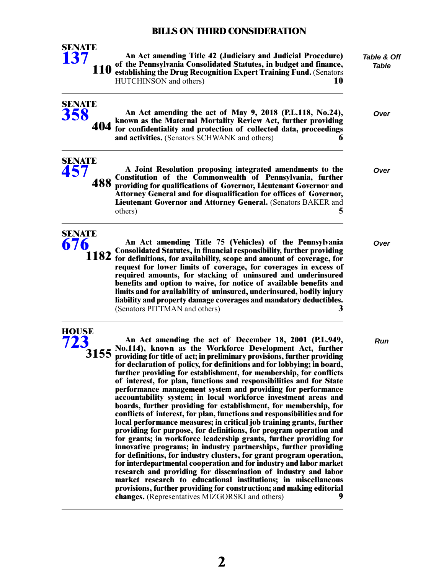| <b>SENATE</b><br>137               | An Act amending Title 42 (Judiciary and Judicial Procedure)<br>of the Pennsylvania Consolidated Statutes, in budget and finance,<br>110 establishing the Drug Recognition Expert Training Fund. (Senators<br>HUTCHINSON and others)<br>10                                                                                                                                                                                                                                                                                                                                                                                                                                                                                                                                                                                                                                                                                                                                                                                                                                                                                                                                                                                                                                                                                                                                                                     | Table & Off<br>Table |
|------------------------------------|---------------------------------------------------------------------------------------------------------------------------------------------------------------------------------------------------------------------------------------------------------------------------------------------------------------------------------------------------------------------------------------------------------------------------------------------------------------------------------------------------------------------------------------------------------------------------------------------------------------------------------------------------------------------------------------------------------------------------------------------------------------------------------------------------------------------------------------------------------------------------------------------------------------------------------------------------------------------------------------------------------------------------------------------------------------------------------------------------------------------------------------------------------------------------------------------------------------------------------------------------------------------------------------------------------------------------------------------------------------------------------------------------------------|----------------------|
| <b>SENATE</b><br>358               | An Act amending the act of May 9, 2018 (P.L.118, No.24),<br>known as the Maternal Mortality Review Act, further providing<br>404 for confidentiality and protection of collected data, proceedings<br>and activities. (Senators SCHWANK and others)<br>6                                                                                                                                                                                                                                                                                                                                                                                                                                                                                                                                                                                                                                                                                                                                                                                                                                                                                                                                                                                                                                                                                                                                                      | Over                 |
| <b>SENATE</b><br><b>457</b><br>488 | A Joint Resolution proposing integrated amendments to the<br>Constitution of the Commonwealth of Pennsylvania, further<br>providing for qualifications of Governor, Lieutenant Governor and<br>Attorney General and for disqualification for offices of Governor,<br>Lieutenant Governor and Attorney General. (Senators BAKER and<br>5<br>others)                                                                                                                                                                                                                                                                                                                                                                                                                                                                                                                                                                                                                                                                                                                                                                                                                                                                                                                                                                                                                                                            | Over                 |
| <b>SENATE</b><br>676               | An Act amending Title 75 (Vehicles) of the Pennsylvania<br><b>Consolidated Statutes, in financial responsibility, further providing</b><br>1182 for definitions, for availability, scope and amount of coverage, for<br>request for lower limits of coverage, for coverages in excess of<br>required amounts, for stacking of uninsured and underinsured<br>benefits and option to waive, for notice of available benefits and<br>limits and for availability of uninsured, underinsured, bodily injury<br>liability and property damage coverages and mandatory deductibles.<br>(Senators PITTMAN and others)<br>3                                                                                                                                                                                                                                                                                                                                                                                                                                                                                                                                                                                                                                                                                                                                                                                           | Over                 |
| <b>HOUSE</b><br><b>723</b><br>3155 | An Act amending the act of December 18, 2001 (P.L.949,<br>No.114), known as the Workforce Development Act, further<br>providing for title of act; in preliminary provisions, further providing<br>for declaration of policy, for definitions and for lobbying; in board,<br>further providing for establishment, for membership, for conflicts<br>of interest, for plan, functions and responsibilities and for State<br>performance management system and providing for performance<br>accountability system; in local workforce investment areas and<br>boards, further providing for establishment, for membership, for<br>conflicts of interest, for plan, functions and responsibilities and for<br>local performance measures; in critical job training grants, further<br>providing for purpose, for definitions, for program operation and<br>for grants; in workforce leadership grants, further providing for<br>innovative programs; in industry partnerships, further providing<br>for definitions, for industry clusters, for grant program operation,<br>for interdepartmental cooperation and for industry and labor market<br>research and providing for dissemination of industry and labor<br>market research to educational institutions; in miscellaneous<br>provisions, further providing for construction; and making editorial<br>changes. (Representatives MIZGORSKI and others)<br>9 | <b>Run</b>           |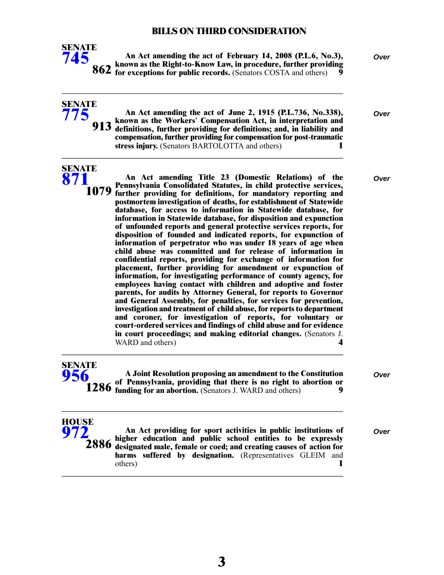

**SENATE [775](/cfdocs/billinfo/billinfo.cfm?syear=2021&sind=0&body=S&type=B&bn=775)**

**An Act amending the act of February 14, 2008 (P.L.6, No.3),** *Over* **known as the Right-to-Know Law, in procedure, further providing for exceptions for public records.** (Senators COSTA and others) 9

| An Act amending the act of June 2, 1915 (P.L.736, No.338),<br>913 known as the Workers' Compensation Act, in interpretation and<br>913 definitions, further providing for definitions; and, in liability and<br>compensation, further providing for compensation for post-traumatic | Over |
|-------------------------------------------------------------------------------------------------------------------------------------------------------------------------------------------------------------------------------------------------------------------------------------|------|
| stress injury. (Senators BARTOLOTTA and others)                                                                                                                                                                                                                                     |      |

| SENATE |  |  |
|--------|--|--|
|        |  |  |
|        |  |  |
|        |  |  |

**An Act amending Title 23 (Domestic Relations) of the** *Over* **Pennsylvania Consolidated Statutes, in child protective services, further providing for definitions, for mandatory reporting and postmortem investigation of deaths, for establishment of Statewide database, for access to information in Statewide database, for information in Statewide database, for disposition and expunction 1079 of unfounded reports and general protective services reports, for disposition of founded and indicated reports, for expunction of information of perpetrator who was under 18 years of age when child abuse was committed and for release of information in confidential reports, providing for exchange of information for placement, further providing for amendment or expunction of information, for investigating performance of county agency, for employees having contact with children and adoptive and foster parents, for audits by Attorney General, for reports to Governor and General Assembly, for penalties, for services for prevention, investigation and treatment of child abuse, for reports to department and coroner, for investigation of reports, for voluntary or court-ordered services and findings of child abuse and for evidence in court proceedings; and making editorial changes.** (Senators J. WARD and others) **4** 

| Over                                                                                                                                                                                                      |
|-----------------------------------------------------------------------------------------------------------------------------------------------------------------------------------------------------------|
|                                                                                                                                                                                                           |
| A Joint Resolution proposing an amendment to the Constitution<br><b>1286</b> of Pennsylvania, providing that there is no right to abortion or 1286 funding for an abortion. (Senators J. WARD and others) |

| HOUSE<br>972 | An Act providing for sport activities in public institutions of<br>$\overline{2886}$ higher education and public school entities to be expressly $2886$ designated male, female or coed; and creating causes of action for<br>harms suffered by designation. (Representatives GLEIM and | Over |
|--------------|-----------------------------------------------------------------------------------------------------------------------------------------------------------------------------------------------------------------------------------------------------------------------------------------|------|
|              | others)                                                                                                                                                                                                                                                                                 |      |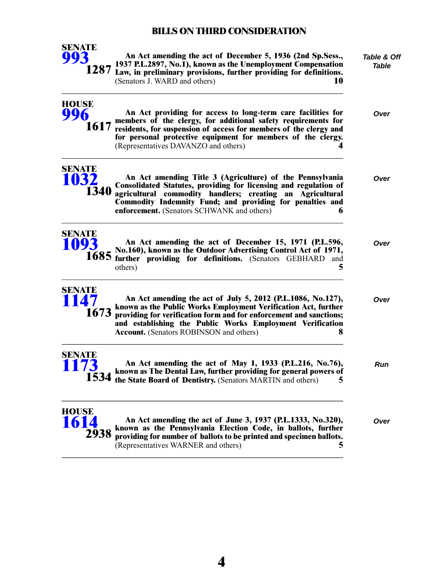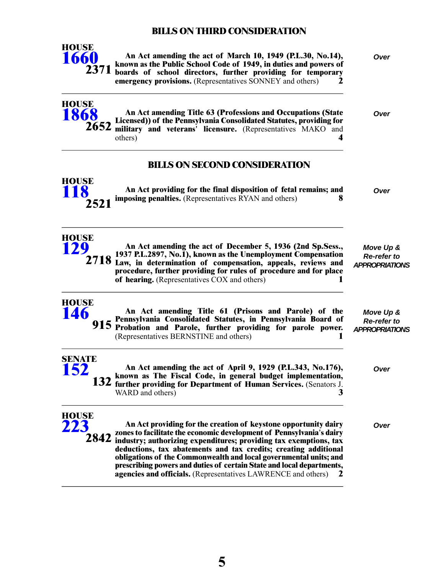

**HOUSE [1868](/cfdocs/billinfo/billinfo.cfm?syear=2021&sind=0&body=H&type=B&bn=1868)**

**An Act amending the act of March 10, 1949 (P.L.30, No.14),** *Over* **known as the Public School Code of 1949, in duties and powers of boards of school directors, further providing for temporary emergency provisions.** (Representatives SONNEY and others) **2**

**An Act amending Title 63 (Professions and Occupations (State** *Over* **Licensed)) of the Pennsylvania Consolidated Statutes, providing for military and veterans' licensure.** (Representatives MAKO and others) **4 2652**

## **BILLS ON SECOND CONSIDERATION**



**HOUSE [129](/cfdocs/billinfo/billinfo.cfm?syear=2021&sind=0&body=H&type=B&bn=129)**

**HOUSE [146](/cfdocs/billinfo/billinfo.cfm?syear=2021&sind=0&body=H&type=B&bn=146)**

**An Act providing for the final disposition of fetal remains; and** *Over* **imposing penalties.** (Representatives RYAN and others) **8**

**An Act amending the act of December 5, 1936 (2nd Sp.Sess., 1937 P.L.2897, No.1), known as the Unemployment Compensation** 2718 Law, in determination of compensation, appeals, reviews and **procedure, further providing for rules of procedure and for place of hearing.** (Representatives COX and others) **1**

*Move Up & Re-refer to APPROPRIATIONS*

*Move Up & Re-refer to APPROPRIATIONS*

| <b>SENATE</b><br><b>152</b><br>An Act amending the act of April 9, 1929 (P.L.343, No.176),<br>132 known as The Fiscal Code, in general budget implementation,<br>132 further providing for Department of Human Services. (Senators J.<br>WARD and others) | Over |
|-----------------------------------------------------------------------------------------------------------------------------------------------------------------------------------------------------------------------------------------------------------|------|
| <b>HOUSE</b><br>223<br>An Act providing for the creation of keystone opportunity dairy<br>2842 zones to facilitate the economic development of Pennsylvania's dairy<br>2842 industry; authorizing expenditures; providing tax exemptions, tax             | Over |

**An Act amending Title 61 (Prisons and Parole) of the Pennsylvania Consolidated Statutes, in Pennsylvania Board of Probation and Parole, further providing for parole power. 915**

(Representatives BERNSTINE and others) **1**

**industry; authorizing expenditures; providing tax exemptions, tax deductions, tax abatements and tax credits; creating additional obligations of the Commonwealth and local governmental units; and prescribing powers and duties of certain State and local departments, agencies and officials.** (Representatives LAWRENCE and others) **2**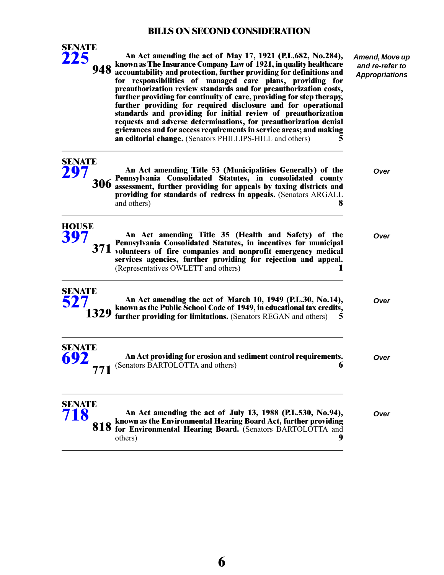*Amend, Move up and re-refer to Appropriations*



**An Act amending the act of May 17, 1921 (P.L.682, No.284), known as The Insurance Company Law of 1921, in quality healthcare accountability and protection, further providing for definitions and for responsibilities of managed care plans, providing for preauthorization review standards and for preauthorization costs, further providing for continuity of care, providing for step therapy, 948 further providing for required disclosure and for operational standards and providing for initial review of preauthorization requests and adverse determinations, for preauthorization denial grievances and for access requirements in service areas; and making an editorial change.** (Senators PHILLIPS-HILL and others) **5**

**An Act amending Title 53 (Municipalities Generally) of the** *Over* **Pennsylvania Consolidated Statutes, in consolidated county assessment, further providing for appeals by taxing districts and 306 providing for standards of redress in appeals.** (Senators ARGALL and others) **8 SENATE [297](/cfdocs/billinfo/billinfo.cfm?syear=2021&sind=0&body=S&type=B&bn=297) HOUSE**

**An Act amending Title 35 (Health and Safety) of the** *Over* **Pennsylvania Consolidated Statutes, in incentives for municipal 371** volunteers of fire companies and nonprofit emergency medical **services agencies, further providing for rejection and appeal.** (Representatives OWLETT and others) **1**



**[397](/cfdocs/billinfo/billinfo.cfm?syear=2021&sind=0&body=H&type=B&bn=397)**

- **An Act amending the act of March 10, 1949 (P.L.30, No.14),** *Over* **known as the Public School Code of 1949, in educational tax credits, further providing for limitations.** (Senators REGAN and others) **5**
- **An Act providing for erosion and sediment control requirements.** *Over* (Senators BARTOLOTTA and others) **6 SENATE [692](/cfdocs/billinfo/billinfo.cfm?syear=2021&sind=0&body=S&type=B&bn=692) 771**

#### **An Act amending the act of July 13, 1988 (P.L.530, No.94),** *Over* **known as the Environmental Hearing Board Act, further providing for Environmental Hearing Board.** (Senators BARTOLOTTA and others) **9 SENATE [718](/cfdocs/billinfo/billinfo.cfm?syear=2021&sind=0&body=S&type=B&bn=718) 818**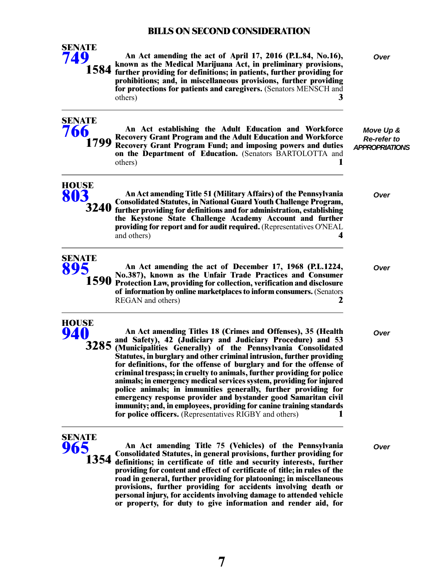| <b>SENATE</b><br>749         | An Act amending the act of April 17, 2016 (P.L.84, No.16),<br>known as the Medical Marijuana Act, in preliminary provisions,<br>1584 further providing for definitions; in patients, further providing for<br>prohibitions; and, in miscellaneous provisions, further providing<br>for protections for patients and caregivers. (Senators MENSCH and<br>3<br>others)                                                                                                                                                                                                                                                                                                                                                                                              | <b>Over</b>                                              |
|------------------------------|-------------------------------------------------------------------------------------------------------------------------------------------------------------------------------------------------------------------------------------------------------------------------------------------------------------------------------------------------------------------------------------------------------------------------------------------------------------------------------------------------------------------------------------------------------------------------------------------------------------------------------------------------------------------------------------------------------------------------------------------------------------------|----------------------------------------------------------|
| <b>SENATE</b><br>766<br>1799 | An Act establishing the Adult Education and Workforce<br><b>Recovery Grant Program and the Adult Education and Workforce</b><br>Recovery Grant Program Fund; and imposing powers and duties<br>on the Department of Education. (Senators BARTOLOTTA and<br>others)                                                                                                                                                                                                                                                                                                                                                                                                                                                                                                | Move Up &<br><b>Re-refer to</b><br><b>APPROPRIATIONS</b> |
| <b>HOUSE</b><br>803<br>3240  | An Act amending Title 51 (Military Affairs) of the Pennsylvania<br><b>Consolidated Statutes, in National Guard Youth Challenge Program,</b><br>further providing for definitions and for administration, establishing<br>the Keystone State Challenge Academy Account and further<br>providing for report and for audit required. (Representatives O'NEAL<br>and others)                                                                                                                                                                                                                                                                                                                                                                                          | Over                                                     |
| <b>SENATE</b><br>895<br>1590 | An Act amending the act of December 17, 1968 (P.L.1224,<br>No.387), known as the Unfair Trade Practices and Consumer<br>Protection Law, providing for collection, verification and disclosure<br>of information by online marketplaces to inform consumers. (Senators<br>REGAN and others)<br>2                                                                                                                                                                                                                                                                                                                                                                                                                                                                   | Over                                                     |
| <b>HOUSE</b><br>940<br>3285  | An Act amending Titles 18 (Crimes and Offenses), 35 (Health<br>and Safety), 42 (Judiciary and Judiciary Procedure) and 53<br>(Municipalities Generally) of the Pennsylvania Consolidated<br>Statutes, in burglary and other criminal intrusion, further providing<br>for definitions, for the offense of burglary and for the offense of<br>criminal trespass; in cruelty to animals, further providing for police<br>animals; in emergency medical services system, providing for injured<br>police animals; in immunities generally, further providing for<br>emergency response provider and bystander good Samaritan civil<br>immunity; and, in employees, providing for canine training standards<br>for police officers. (Representatives RIGBY and others) | Over                                                     |
| <b>SENATE</b><br>965<br>1354 | An Act amending Title 75 (Vehicles) of the Pennsylvania<br><b>Consolidated Statutes, in general provisions, further providing for</b><br>definitions; in certificate of title and security interests, further<br>providing for content and effect of certificate of title; in rules of the<br>road in general, further providing for platooning; in miscellaneous<br>provisions, further providing for accidents involving death or<br>personal injury, for accidents involving damage to attended vehicle<br>or property, for duty to give information and render aid, for                                                                                                                                                                                       | Over                                                     |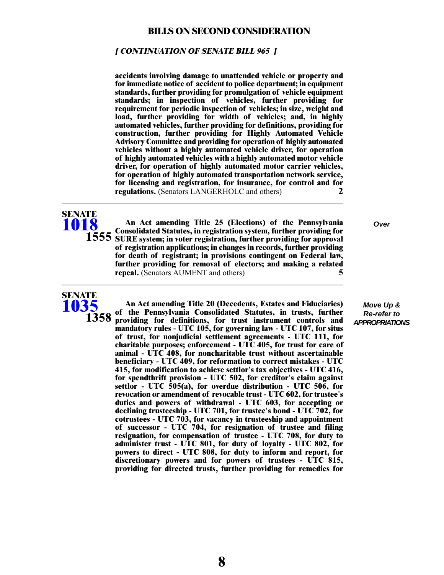#### **[ CONTINUATION OF SENATE BILL 965 ]**

**accidents involving damage to unattended vehicle or property and for immediate notice of accident to police department; in equipment standards, further providing for promulgation of vehicle equipment standards; in inspection of vehicles, further providing for requirement for periodic inspection of vehicles; in size, weight and load, further providing for width of vehicles; and, in highly automated vehicles, further providing for definitions, providing for construction, further providing for Highly Automated Vehicle Advisory Committee and providing for operation of highly automated vehicles without a highly automated vehicle driver, for operation of highly automated vehicles with a highly automated motor vehicle driver, for operation of highly automated motor carrier vehicles, for operation of highly automated transportation network service, for licensing and registration, for insurance, for control and for regulations.** (Senators LANGERHOLC and others) **2**



**An Act amending Title 25 (Elections) of the Pennsylvania** *Over* **Consolidated Statutes, in registration system, further providing for 1555** SURE system; in voter registration, further providing for approval **of registration applications; in changes in records, further providing for death of registrant; in provisions contingent on Federal law, further providing for removal of electors; and making a related repeal.** (Senators AUMENT and others) **5**

**SENATE [1035](/cfdocs/billinfo/billinfo.cfm?syear=2021&sind=0&body=S&type=B&bn=1035) 1358**

**An Act amending Title 20 (Decedents, Estates and Fiduciaries) of the Pennsylvania Consolidated Statutes, in trusts, further providing for definitions, for trust instrument controls and mandatory rules - UTC 105, for governing law - UTC 107, for situs of trust, for nonjudicial settlement agreements - UTC 111, for charitable purposes; enforcement - UTC 405, for trust for care of animal - UTC 408, for noncharitable trust without ascertainable beneficiary - UTC 409, for reformation to correct mistakes - UTC 415, for modification to achieve settlor's tax objectives - UTC 416, for spendthrift provision - UTC 502, for creditor's claim against settlor - UTC 505(a), for overdue distribution - UTC 506, for revocation or amendment of revocable trust - UTC 602, for trustee's duties and powers of withdrawal - UTC 603, for accepting or declining trusteeship - UTC 701, for trustee's bond - UTC 702, for cotrustees - UTC 703, for vacancy in trusteeship and appointment of successor - UTC 704, for resignation of trustee and filing resignation, for compensation of trustee - UTC 708, for duty to administer trust - UTC 801, for duty of loyalty - UTC 802, for powers to direct - UTC 808, for duty to inform and report, for discretionary powers and for powers of trustees - UTC 815, providing for directed trusts, further providing for remedies for**

*Move Up & Re-refer to APPROPRIATIONS*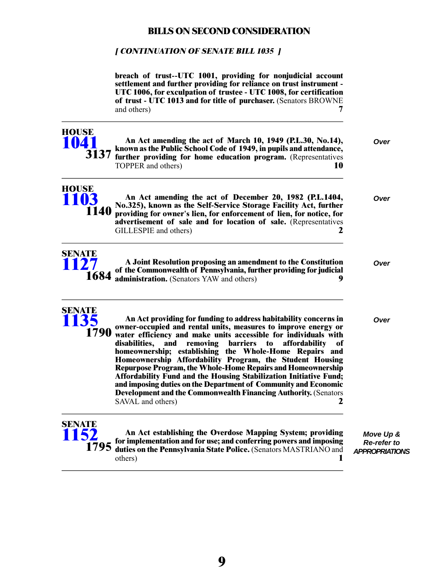## **[ CONTINUATION OF SENATE BILL 1035 ]**

|                               | breach of trust--UTC 1001, providing for nonjudicial account<br>settlement and further providing for reliance on trust instrument -<br>UTC 1006, for exculpation of trustee - UTC 1008, for certification<br>of trust - UTC 1013 and for title of purchaser. (Senators BROWNE<br>and others)                                                                                                                                                                                                                                                                                                                                                                                                                                         |                                                          |
|-------------------------------|--------------------------------------------------------------------------------------------------------------------------------------------------------------------------------------------------------------------------------------------------------------------------------------------------------------------------------------------------------------------------------------------------------------------------------------------------------------------------------------------------------------------------------------------------------------------------------------------------------------------------------------------------------------------------------------------------------------------------------------|----------------------------------------------------------|
| <b>HOUSE</b><br>1041          | An Act amending the act of March 10, 1949 (P.L.30, No.14),<br>known as the Public School Code of 1949, in pupils and attendance,<br>3137 further providing for home education program. (Representatives<br>TOPPER and others)<br>10                                                                                                                                                                                                                                                                                                                                                                                                                                                                                                  | Over                                                     |
| <b>HOUSE</b><br>1103<br>1140  | An Act amending the act of December 20, 1982 (P.L.1404,<br>No.325), known as the Self-Service Storage Facility Act, further<br>providing for owner's lien, for enforcement of lien, for notice, for<br>advertisement of sale and for location of sale. (Representatives<br>GILLESPIE and others)<br>2                                                                                                                                                                                                                                                                                                                                                                                                                                | Over                                                     |
| <b>SENATE</b><br>27<br>1684   | A Joint Resolution proposing an amendment to the Constitution<br>of the Commonwealth of Pennsylvania, further providing for judicial<br>administration. (Senators YAW and others)<br>9                                                                                                                                                                                                                                                                                                                                                                                                                                                                                                                                               | Over                                                     |
| <b>SENATE</b><br>1135<br>1790 | An Act providing for funding to address habitability concerns in<br>owner-occupied and rental units, measures to improve energy or<br>water efficiency and make units accessible for individuals with<br>disabilities,<br>removing<br><b>barriers</b><br>affordability<br>and<br>$\mathbf{t}$<br>of<br>homeownership; establishing the Whole-Home Repairs and<br>Homeownership Affordability Program, the Student Housing<br><b>Repurpose Program, the Whole-Home Repairs and Homeownership</b><br>Affordability Fund and the Housing Stabilization Initiative Fund;<br>and imposing duties on the Department of Community and Economic<br>Development and the Commonwealth Financing Authority. (Senators<br>SAVAL and others)<br>2 | Over                                                     |
| <b>SENATE</b><br>1795         | An Act establishing the Overdose Mapping System; providing<br>for implementation and for use; and conferring powers and imposing<br>duties on the Pennsylvania State Police. (Senators MASTRIANO and<br>others)                                                                                                                                                                                                                                                                                                                                                                                                                                                                                                                      | Move Up &<br><b>Re-refer to</b><br><b>APPROPRIATIONS</b> |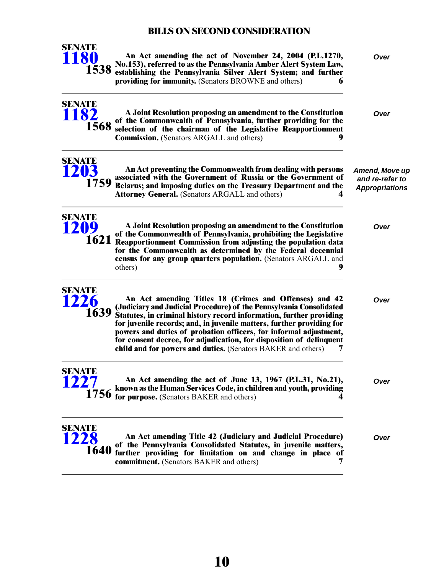

**SENATE [1182](/cfdocs/billinfo/billinfo.cfm?syear=2021&sind=0&body=S&type=B&bn=1182)**

**1568**

**An Act amending the act of November 24, 2004 (P.L.1270,** *Over* **No.153), referred to as the Pennsylvania Amber Alert System Law, establishing the Pennsylvania Silver Alert System; and further providing for immunity.** (Senators BROWNE and others) **6**

**A Joint Resolution proposing an amendment to the Constitution** *Over* **of the Commonwealth of Pennsylvania, further providing for the selection of the chairman of the Legislative Reapportionment**

> *Amend, Move up and re-refer to Appropriations*

**Commission.** (Senators ARGALL and others) **9**



**An Act preventing the Commonwealth from dealing with persons associated with the Government of Russia or the Government of Belarus; and imposing duties on the Treasury Department and the Attorney General.** (Senators ARGALL and others) **4**



**SENATE [1226](/cfdocs/billinfo/billinfo.cfm?syear=2021&sind=0&body=S&type=B&bn=1226)**

**A Joint Resolution proposing an amendment to the Constitution** *Over* **of the Commonwealth of Pennsylvania, prohibiting the Legislative Reapportionment Commission from adjusting the population data for the Commonwealth as determined by the Federal decennial census for any group quarters population.** (Senators ARGALL and others) **9**

**An Act amending Titles 18 (Crimes and Offenses) and 42** *Over* **(Judiciary and Judicial Procedure) of the Pennsylvania Consolidated Statutes, in criminal history record information, further providing for juvenile records; and, in juvenile matters, further providing for powers and duties of probation officers, for informal adjustment, for consent decree, for adjudication, for disposition of delinquent child and for powers and duties.** (Senators BAKER and others) **7 1639**

**SENATE [1227](/cfdocs/billinfo/billinfo.cfm?syear=2021&sind=0&body=S&type=B&bn=1227)**

**An Act amending the act of June 13, 1967 (P.L.31, No.21),** *Over* **known as the Human Services Code, in children and youth, providing for purpose.** (Senators BAKER and others) **4** 

**An Act amending Title 42 (Judiciary and Judicial Procedure)** *Over* **of the Pennsylvania Consolidated Statutes, in juvenile matters, further providing for limitation on and change in place of commitment.** (Senators BAKER and others) **7 SENATE [1228](/cfdocs/billinfo/billinfo.cfm?syear=2021&sind=0&body=S&type=B&bn=1228) 1640**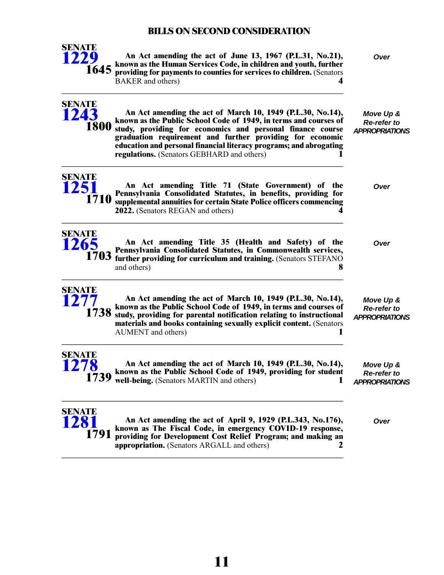

**SENATE [1243](/cfdocs/billinfo/billinfo.cfm?syear=2021&sind=0&body=S&type=B&bn=1243)**

**1800**

**An Act amending the act of June 13, 1967 (P.L.31, No.21),** *Over* **known as the Human Services Code, in children and youth, further providing for payments to counties for services to children.** (Senators BAKER and others) **4**

*Move Up & Re-refer to APPROPRIATIONS* **An Act amending the act of March 10, 1949 (P.L.30, No.14), known as the Public School Code of 1949, in terms and courses of study, providing for economics and personal finance course graduation requirement and further providing for economic**



**SENATE [1265](/cfdocs/billinfo/billinfo.cfm?syear=2021&sind=0&body=S&type=B&bn=1265)**

**An Act amending Title 71 (State Government) of the** *Over* **Pennsylvania Consolidated Statutes, in benefits, providing for supplemental annuities for certain State Police officers commencing 2022.** (Senators REGAN and others) **4**

**education and personal financial literacy programs; and abrogating regulations.** (Senators GEBHARD and others) **1**

**An Act amending Title 35 (Health and Safety) of the** *Over* **Pennsylvania Consolidated Statutes, in Commonwealth services, further providing for curriculum and training.** (Senators STEFANO and others) **8 1703**

**SENATE [1277](/cfdocs/billinfo/billinfo.cfm?syear=2021&sind=0&body=S&type=B&bn=1277) 1738**

**An Act amending the act of March 10, 1949 (P.L.30, No.14), known as the Public School Code of 1949, in terms and courses of study, providing for parental notification relating to instructional materials and books containing sexually explicit content.** (Senators AUMENT and others) **1**



**An Act amending the act of March 10, 1949 (P.L.30, No.14), known as the Public School Code of 1949, providing for student 1739** well-being. (Senators MARTIN and others)

*Move Up & Re-refer to APPROPRIATIONS*

*Move Up & Re-refer to APPROPRIATIONS*



**An Act amending the act of April 9, 1929 (P.L.343, No.176),** *Over* **known as The Fiscal Code, in emergency COVID-19 response, providing for Development Cost Relief Program; and making an appropriation.** (Senators ARGALL and others) **2**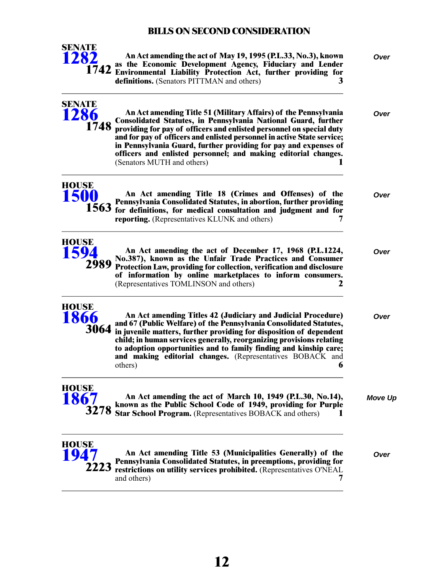

**SENATE [1286](/cfdocs/billinfo/billinfo.cfm?syear=2021&sind=0&body=S&type=B&bn=1286)**

**1748**

**An Act amending the act of May 19, 1995 (P.L.33, No.3), known** *Over* **as the Economic Development Agency, Fiduciary and Lender Environmental Liability Protection Act, further providing for 1742 definitions.** (Senators PITTMAN and others) **3**

**An Act amending Title 51 (Military Affairs) of the Pennsylvania** *Over* **Consolidated Statutes, in Pennsylvania National Guard, further providing for pay of officers and enlisted personnel on special duty and for pay of officers and enlisted personnel in active State service; in Pennsylvania Guard, further providing for pay and expenses of officers and enlisted personnel; and making editorial changes.** (Senators MUTH and others) **1**

**HOUSE [1500](/cfdocs/billinfo/billinfo.cfm?syear=2021&sind=0&body=H&type=B&bn=1500)**

**An Act amending Title 18 (Crimes and Offenses) of the** *Over* **Pennsylvania Consolidated Statutes, in abortion, further providing for definitions, for medical consultation and judgment and for reporting.** (Representatives KLUNK and others) **7**

**HOUSE [1594](/cfdocs/billinfo/billinfo.cfm?syear=2021&sind=0&body=H&type=B&bn=1594) 2989**

**HOUSE [1866](/cfdocs/billinfo/billinfo.cfm?syear=2021&sind=0&body=H&type=B&bn=1866)**

**An Act amending the act of December 17, 1968 (P.L.1224,** *Over* **No.387), known as the Unfair Trade Practices and Consumer Protection Law, providing for collection, verification and disclosure of information by online marketplaces to inform consumers.** (Representatives TOMLINSON and others) **2**

**An Act amending Titles 42 (Judiciary and Judicial Procedure)** *Over* **and 67 (Public Welfare) of the Pennsylvania Consolidated Statutes, in juvenile matters, further providing for disposition of dependent child; in human services generally, reorganizing provisions relating to adoption opportunities and to family finding and kinship care; and making editorial changes.** (Representatives BOBACK and others) **6 3064**

**HOUSE [1867](/cfdocs/billinfo/billinfo.cfm?syear=2021&sind=0&body=H&type=B&bn=1867)**

**An Act amending the act of March 10, 1949 (P.L.30, No.14),** *Move Up* **known as the Public School Code of 1949, providing for Purple S278** Star School Program. (Representatives BOBACK and others) **1** 

**An Act amending Title 53 (Municipalities Generally) of the** *Over* **Pennsylvania Consolidated Statutes, in preemptions, providing for restrictions on utility services prohibited.** (Representatives O'NEAL and others) **7 HOUSE [1947](/cfdocs/billinfo/billinfo.cfm?syear=2021&sind=0&body=H&type=B&bn=1947) 2223**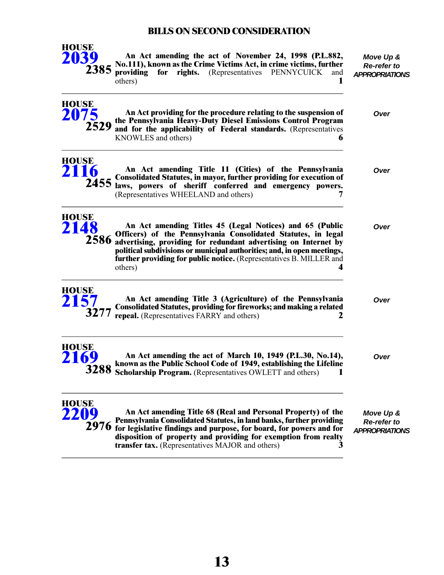

**HOUSE**

**An Act amending the act of November 24, 1998 (P.L.882, No.111), known as the Crime Victims Act, in crime victims, further providing for rights.** (Representatives PENNYCUICK and others) others) **1**

*Move Up & Re-refer to APPROPRIATIONS*

| HUUDL        | 2075 An Act providing for the real of Diesel Emissions Control 2529 and for the applicability of Federal standards. (Representatives 6                                                                                                                                                                      | Over |
|--------------|-------------------------------------------------------------------------------------------------------------------------------------------------------------------------------------------------------------------------------------------------------------------------------------------------------------|------|
| <b>HOUSE</b> | 2116 An Act amenuing<br>2455 laws, powers of sheriff conferred and emergency powers.<br>7                                                                                                                                                                                                                   | Over |
| <b>HOUSE</b> | 2148 An Act amenuing Announce Consolidated Statutes, m. 2586 advertising, providing for redundant advertising on Internet by<br>2586 advertising, providing for redundant advertising on Internet by<br>Advertising or municipal aut<br>further providing for public notice. (Representatives B. MILLER and | Over |



| An Act amending Title 3 (Agriculture) of the Pennsylvania                                                             | Over |
|-----------------------------------------------------------------------------------------------------------------------|------|
| $277$ Consolidated Statutes, providing for fireworks; and making a related repeal. (Representatives FARRY and others) |      |

others) **4**



**An Act amending the act of March 10, 1949 (P.L.30, No.14),** *Over* **known as the Public School Code of 1949, establishing the Lifeline 3288** Scholarship Program. (Representatives OWLETT and others) **1** 



**An Act amending Title 68 (Real and Personal Property) of the Pennsylvania Consolidated Statutes, in land banks, further providing for legislative findings and purpose, for board, for powers and for 2976 disposition of property and providing for exemption from realty transfer tax.** (Representatives MAJOR and others) **3**

*Move Up & Re-refer to APPROPRIATIONS*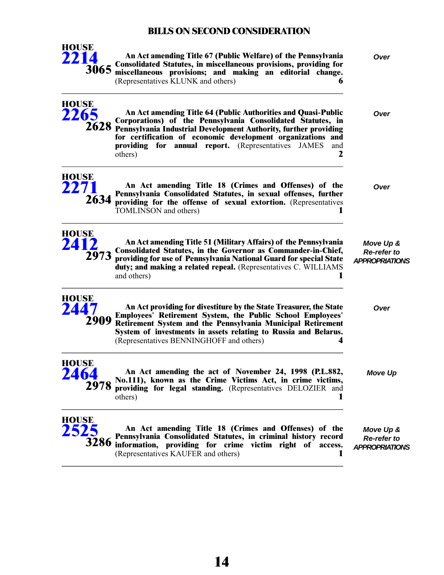

**An Act amending Title 67 (Public Welfare) of the Pennsylvania** *Over* **Consolidated Statutes, in miscellaneous provisions, providing for miscellaneous provisions; and making an editorial change.** (Representatives KLUNK and others) **6**

| <b>HOUSE</b><br>2265         | An Act amending Title 64 (Public Authorities and Quasi-Public<br>Corporations) of the Pennsylvania Consolidated Statutes, in<br>2628 Pennsylvania Industrial Development Authority, further providing<br>for certification of economic development organizations and<br>providing for annual report. (Representatives JAMES<br>and<br>2<br>others) | Over                                                     |
|------------------------------|----------------------------------------------------------------------------------------------------------------------------------------------------------------------------------------------------------------------------------------------------------------------------------------------------------------------------------------------------|----------------------------------------------------------|
| <b>HOUSE</b><br>2271<br>2634 | An Act amending Title 18 (Crimes and Offenses) of the<br>Pennsylvania Consolidated Statutes, in sexual offenses, further<br>providing for the offense of sexual extortion. (Representatives<br>TOMLINSON and others)<br>1                                                                                                                          | Over                                                     |
| <b>HOUSE</b><br>2412<br>2973 | An Act amending Title 51 (Military Affairs) of the Pennsylvania<br>Consolidated Statutes, in the Governor as Commander-in-Chief,<br>providing for use of Pennsylvania National Guard for special State<br>duty; and making a related repeal. (Representatives C. WILLIAMS<br>and others)<br>1                                                      | Move Up &<br><b>Re-refer to</b><br><b>APPROPRIATIONS</b> |
| <b>HOUSE</b><br>2447         | An Act providing for divestiture by the State Treasurer, the State<br><b>Employees' Retirement System, the Public School Employees'</b><br>2909 Retirement System and the Pennsylvania Municipal Retirement<br>System of investments in assets relating to Russia and Belarus.<br>(Representatives BENNINGHOFF and others)<br>4                    | Over                                                     |
| <b>HOUSE</b><br>2464<br>2978 | An Act amending the act of November 24, 1998 (P.L.882,<br>No.111), known as the Crime Victims Act, in crime victims,<br>providing for legal standing. (Representatives DELOZIER and<br>others)                                                                                                                                                     | <b>Move Up</b>                                           |
| <b>HOUSE</b>                 | An Act amending Title 18 (Crimes and Offenses) of the<br>Pennsylvania Consolidated Statutes, in criminal history record<br>3286 information, providing for crime victim right of access.<br>(Representatives KAUFER and others)<br>1                                                                                                               | Move Up &<br>Re-refer to<br><b>APPROPRIATIONS</b>        |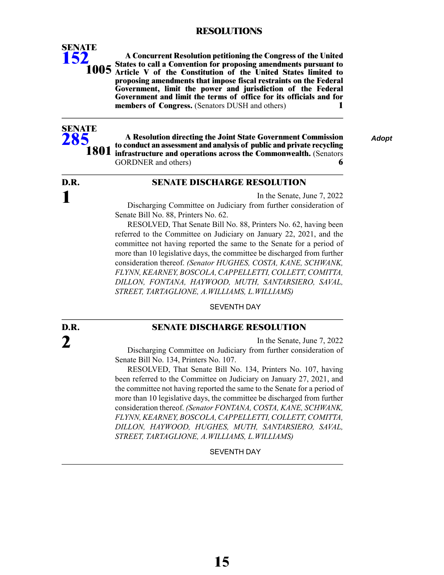### **RESOLUTIONS**

**A Concurrent Resolution petitioning the Congress of the United States to call a Convention for proposing amendments pursuant to 1005** Article V of the Constitution of the United States limited to **proposing amendments that impose fiscal restraints on the Federal Government, limit the power and jurisdiction of the Federal Government and limit the terms of office for its officials and for members of Congress.** (Senators DUSH and others) **1**



**SENATE [152](/cfdocs/billinfo/billinfo.cfm?syear=2021&sind=0&body=S&type=R&bn=152)**

> **A Resolution directing the Joint State Government Commission** *Adopt* **to conduct an assessment and analysis of public and private recycling infrastructure and operations across the Commonwealth.** (Senators GORDNER and others) **6**

# **D.R. 1**

#### **SENATE DISCHARGE RESOLUTION**

In the Senate, June 7, 2022

Discharging Committee on Judiciary from further consideration of Senate Bill No. 88, Printers No. 62.

RESOLVED, That Senate Bill No. 88, Printers No. 62, having been referred to the Committee on Judiciary on January 22, 2021, and the committee not having reported the same to the Senate for a period of more than 10 legislative days, the committee be discharged from further consideration thereof. *(Senator HUGHES, COSTA, KANE, SCHWANK, FLYNN,KEARNEY, BOSCOLA,CAPPELLETTI,COLLETT,COMITTA, DILLON, FONTANA, HAYWOOD, MUTH, SANTARSIERO, SAVAL, STREET, TARTAGLIONE, A.WILLIAMS, L.WILLIAMS)*

SEVENTH DAY

**D.R. 2**

#### **SENATE DISCHARGE RESOLUTION**

In the Senate, June 7, 2022

Discharging Committee on Judiciary from further consideration of Senate Bill No. 134, Printers No. 107.

RESOLVED, That Senate Bill No. 134, Printers No. 107, having been referred to the Committee on Judiciary on January 27, 2021, and the committee not having reported the same to the Senate for a period of more than 10 legislative days, the committee be discharged from further consideration thereof. *(Senator FONTANA, COSTA, KANE, SCHWANK, FLYNN,KEARNEY, BOSCOLA,CAPPELLETTI,COLLETT,COMITTA, DILLON, HAYWOOD, HUGHES, MUTH, SANTARSIERO, SAVAL, STREET, TARTAGLIONE, A.WILLIAMS, L.WILLIAMS)*

#### SEVENTH DAY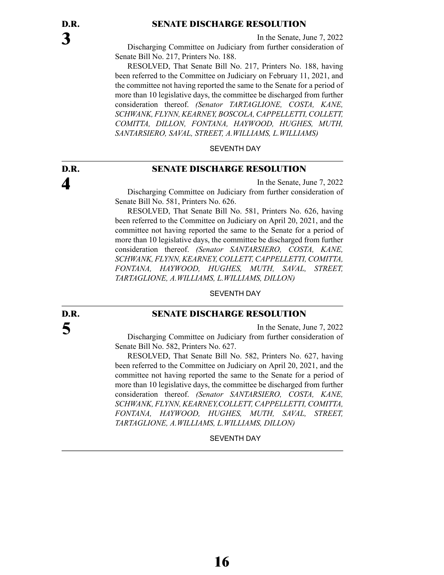#### **SENATE DISCHARGE RESOLUTION**

In the Senate, June 7, 2022

Discharging Committee on Judiciary from further consideration of Senate Bill No. 217, Printers No. 188.

RESOLVED, That Senate Bill No. 217, Printers No. 188, having been referred to the Committee on Judiciary on February 11, 2021, and the committee not having reported the same to the Senate for a period of more than 10 legislative days, the committee be discharged from further consideration thereof. *(Senator TARTAGLIONE, COSTA, KANE, SCHWANK, FLYNN, KEARNEY, BOSCOLA, CAPPELLETTI, COLLETT, COMITTA, DILLON, FONTANA, HAYWOOD, HUGHES, MUTH, SANTARSIERO, SAVAL, STREET, A.WILLIAMS, L.WILLIAMS)*

SEVENTH DAY

#### **SENATE DISCHARGE RESOLUTION**

In the Senate, June 7, 2022 Discharging Committee on Judiciary from further consideration of Senate Bill No. 581, Printers No. 626.

RESOLVED, That Senate Bill No. 581, Printers No. 626, having been referred to the Committee on Judiciary on April 20, 2021, and the committee not having reported the same to the Senate for a period of more than 10 legislative days, the committee be discharged from further consideration thereof. *(Senator SANTARSIERO, COSTA, KANE, SCHWANK, FLYNN, KEARNEY, COLLETT, CAPPELLETTI, COMITTA, FONTANA, HAYWOOD, HUGHES, MUTH, SAVAL, STREET, TARTAGLIONE, A.WILLIAMS, L.WILLIAMS, DILLON)*

SEVENTH DAY

#### **SENATE DISCHARGE RESOLUTION**

In the Senate, June 7, 2022 Discharging Committee on Judiciary from further consideration of Senate Bill No. 582, Printers No. 627.

RESOLVED, That Senate Bill No. 582, Printers No. 627, having been referred to the Committee on Judiciary on April 20, 2021, and the committee not having reported the same to the Senate for a period of more than 10 legislative days, the committee be discharged from further consideration thereof. *(Senator SANTARSIERO, COSTA, KANE, SCHWANK, FLYNN, KEARNEY,COLLETT, CAPPELLETTI, COMITTA, FONTANA, HAYWOOD, HUGHES, MUTH, SAVAL, STREET, TARTAGLIONE, A.WILLIAMS, L.WILLIAMS, DILLON)*

#### SEVENTH DAY

**D.R. 5**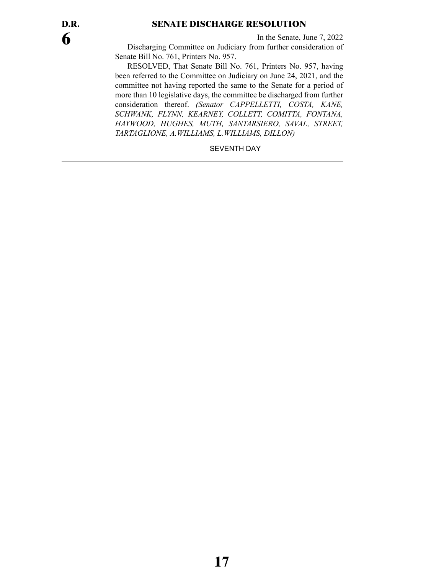### **SENATE DISCHARGE RESOLUTION**

In the Senate, June 7, 2022

Discharging Committee on Judiciary from further consideration of Senate Bill No. 761, Printers No. 957.

RESOLVED, That Senate Bill No. 761, Printers No. 957, having been referred to the Committee on Judiciary on June 24, 2021, and the committee not having reported the same to the Senate for a period of more than 10 legislative days, the committee be discharged from further consideration thereof. *(Senator CAPPELLETTI, COSTA, KANE, SCHWANK, FLYNN, KEARNEY, COLLETT, COMITTA, FONTANA, HAYWOOD, HUGHES, MUTH, SANTARSIERO, SAVAL, STREET, TARTAGLIONE, A.WILLIAMS, L.WILLIAMS, DILLON)*

SEVENTH DAY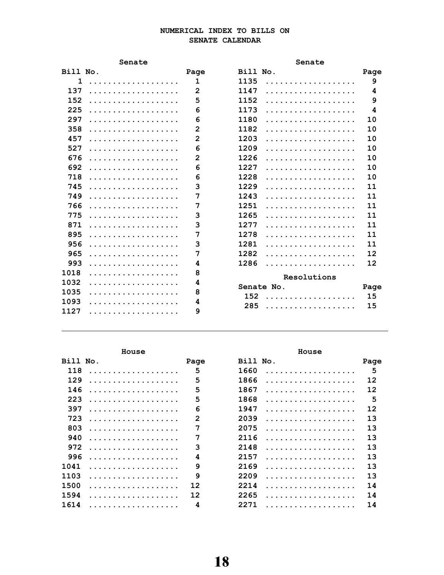#### NUMERICAL INDEX TO BILLS ON SENATE CALENDAR

|          | Senate |                | Senate      |      |
|----------|--------|----------------|-------------|------|
| Bill No. |        | Page           | Bill No.    | Page |
| 1        | .      | $\mathbf{1}$   | 1135<br>.   | 9    |
| 137      | .      | $\mathbf{2}$   | 1147<br>.   | 4    |
| 152      | .      | 5              | 1152<br>.   | 9    |
| 225      | .      | 6              | 1173<br>.   | 4    |
| 297      | .      | 6              | 1180<br>.   | 10   |
| 358      | .      | $\overline{2}$ | 1182<br>.   | 10   |
| 457      | .      | $\overline{2}$ | 1203<br>.   | 10   |
| 527      | .      | 6              | 1209<br>.   | 10   |
| 676      | .      | $\overline{2}$ | 1226<br>.   | 10   |
| 692      | .      | 6              | 1227<br>.   | 10   |
| 718      | .      | 6              | 1228<br>.   | 10   |
| 745      | .      | 3              | 1229<br>.   | 11   |
| 749      | .      | 7              | 1243<br>.   | 11   |
| 766      | .      | 7              | 1251<br>.   | 11   |
| 775      | .      | 3              | 1265<br>.   | 11   |
| 871      | .      | 3              | 1277<br>.   | 11   |
| 895      | .      | 7              | 1278<br>.   | 11   |
| 956      | .      | 3              | 1281<br>.   | 11   |
| 965      | .      | 7              | 1282<br>.   | 12   |
| 993      | .      | 4              | 1286<br>.   | 12   |
| 1018     | .      | 8              | Resolutions |      |
| 1032     | .      | 4              | Senate No.  | Page |
| 1035     | .      | 8              | 152<br>.    | 15   |
| 1093     | .      | 4              | 285<br>.    | 15   |
| 1127     | .      | 9              |             |      |

|          | House |              | House     |      |
|----------|-------|--------------|-----------|------|
| Bill No. |       | Page         | Bill No.  | Page |
| 118      |       | 5            | 1660      | 5    |
| 129      |       | 5            | 1866      | 12   |
| 146      | .     | 5            | 1867<br>. | 12   |
| 223      | .     | 5            | 1868<br>. | 5    |
| 397      |       | 6            | 1947      | 12   |
| 723      |       | $\mathbf{2}$ | 2039      | 13   |
| 803      |       | 7            | 2075      | 13   |
| 940      | .     | 7            | 2116<br>. | 13   |
| 972      | .     | 3            | 2148      | 13   |
| 996      |       | 4            | 2157      | 13   |
| 1041     |       | 9            | 2169      | 13   |
| 1103     |       | 9            | 2209      | 13   |
| 1500     | .     | 12           | 2214<br>. | 14   |
| 1594     |       | 12           | 2265      | 14   |
| 1614     |       | 4            | 2271<br>. | 14   |